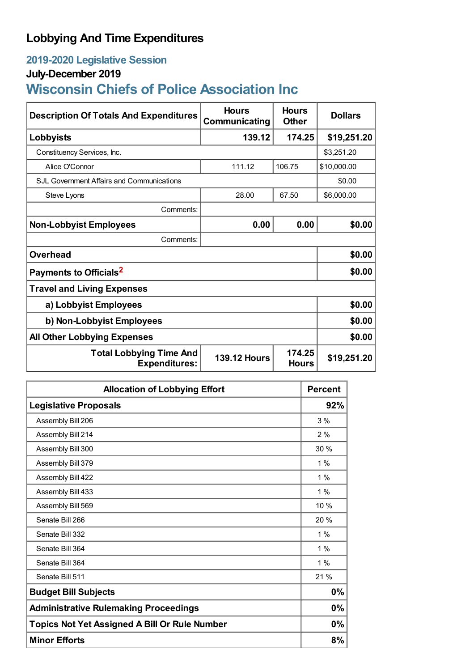## **Lobbying And Time Expenditures**

### **2019-2020 Legislative Session**

#### **July-December 2019**

# **Wisconsin Chiefs of Police Association Inc**

| <b>Description Of Totals And Expenditures</b>          | <b>Hours</b><br>Communicating | <b>Hours</b><br><b>Other</b> | <b>Dollars</b> |
|--------------------------------------------------------|-------------------------------|------------------------------|----------------|
| Lobbyists                                              | 139.12                        | 174.25                       | \$19,251.20    |
| Constituency Services, Inc.                            |                               |                              | \$3,251.20     |
| Alice O'Connor                                         | 111.12                        | 106.75                       | \$10,000.00    |
| SJL Government Affairs and Communications              |                               |                              | \$0.00         |
| Steve Lyons                                            | 28.00                         | 67.50                        | \$6,000.00     |
| Comments:                                              |                               |                              |                |
| <b>Non-Lobbyist Employees</b>                          | 0.00                          | 0.00                         | \$0.00         |
| Comments:                                              |                               |                              |                |
| <b>Overhead</b>                                        |                               |                              | \$0.00         |
| Payments to Officials <sup>2</sup>                     |                               |                              | \$0.00         |
| <b>Travel and Living Expenses</b>                      |                               |                              |                |
| a) Lobbyist Employees                                  |                               |                              | \$0.00         |
| b) Non-Lobbyist Employees                              |                               |                              | \$0.00         |
| <b>All Other Lobbying Expenses</b>                     |                               |                              | \$0.00         |
| <b>Total Lobbying Time And</b><br><b>Expenditures:</b> | <b>139.12 Hours</b>           | 174.25<br><b>Hours</b>       | \$19,251.20    |

| <b>Allocation of Lobbying Effort</b>                 | <b>Percent</b> |
|------------------------------------------------------|----------------|
| <b>Legislative Proposals</b>                         | 92%            |
| Assembly Bill 206                                    | 3%             |
| Assembly Bill 214                                    | 2%             |
| Assembly Bill 300                                    | 30%            |
| Assembly Bill 379                                    | $1\%$          |
| Assembly Bill 422                                    | $1\%$          |
| Assembly Bill 433                                    | $1\%$          |
| Assembly Bill 569                                    | 10 %           |
| Senate Bill 266                                      | 20 %           |
| Senate Bill 332                                      | $1\%$          |
| Senate Bill 364                                      | 1%             |
| Senate Bill 364                                      | $1\%$          |
| Senate Bill 511                                      | 21 %           |
| <b>Budget Bill Subjects</b>                          | 0%             |
| <b>Administrative Rulemaking Proceedings</b>         | 0%             |
| <b>Topics Not Yet Assigned A Bill Or Rule Number</b> |                |
| <b>Minor Efforts</b>                                 | 8%             |